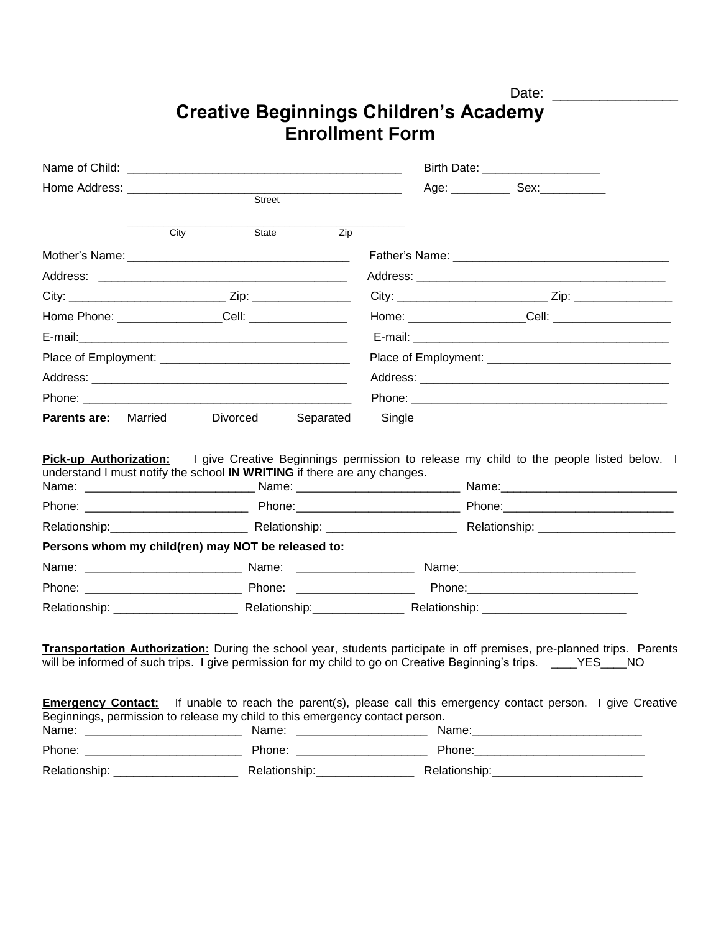## **Creative Beginnings Children's Academy Enrollment Form**

|                                                                                                                                                                                            |                                 |        | Birth Date: _______________________                                                                                    |  |
|--------------------------------------------------------------------------------------------------------------------------------------------------------------------------------------------|---------------------------------|--------|------------------------------------------------------------------------------------------------------------------------|--|
|                                                                                                                                                                                            |                                 |        | Age: _______________ Sex:_______________                                                                               |  |
|                                                                                                                                                                                            | Street                          |        |                                                                                                                        |  |
| City                                                                                                                                                                                       | State<br>Zip                    |        |                                                                                                                        |  |
|                                                                                                                                                                                            |                                 |        |                                                                                                                        |  |
|                                                                                                                                                                                            |                                 |        |                                                                                                                        |  |
|                                                                                                                                                                                            |                                 |        |                                                                                                                        |  |
|                                                                                                                                                                                            |                                 |        | Home: ______________________Cell: _______________________                                                              |  |
|                                                                                                                                                                                            |                                 |        |                                                                                                                        |  |
|                                                                                                                                                                                            |                                 |        |                                                                                                                        |  |
|                                                                                                                                                                                            |                                 |        |                                                                                                                        |  |
| Phone: 2008 2009 2010 2020 2020 2020 2021 2021 2022 2021 2022 2021 2022 2022 2022 2022 2022 2022 2022 2022 20                                                                              |                                 |        |                                                                                                                        |  |
| <b>Parents are:</b> Married<br>Divorced                                                                                                                                                    | Separated                       | Single |                                                                                                                        |  |
| understand I must notify the school IN WRITING if there are any changes.<br>Name: ____________________________Name: ________________________________Name: ________________________________ |                                 |        |                                                                                                                        |  |
|                                                                                                                                                                                            |                                 |        |                                                                                                                        |  |
| Persons whom my child(ren) may NOT be released to:                                                                                                                                         |                                 |        |                                                                                                                        |  |
|                                                                                                                                                                                            |                                 |        |                                                                                                                        |  |
|                                                                                                                                                                                            |                                 |        |                                                                                                                        |  |
|                                                                                                                                                                                            |                                 |        |                                                                                                                        |  |
|                                                                                                                                                                                            |                                 |        |                                                                                                                        |  |
| Transportation Authorization: During the school year, students participate in off premises, pre-planned trips. Parents                                                                     |                                 |        |                                                                                                                        |  |
| will be informed of such trips. I give permission for my child to go on Creative Beginning's trips. ____YES____NO                                                                          |                                 |        |                                                                                                                        |  |
|                                                                                                                                                                                            |                                 |        |                                                                                                                        |  |
|                                                                                                                                                                                            |                                 |        |                                                                                                                        |  |
|                                                                                                                                                                                            |                                 |        | <b>Emergency Contact:</b> If unable to reach the parent(s), please call this emergency contact person. I give Creative |  |
| Beginnings, permission to release my child to this emergency contact person.                                                                                                               | Name: ________________________  |        |                                                                                                                        |  |
|                                                                                                                                                                                            | Phone: ________________________ |        |                                                                                                                        |  |

Date: \_\_\_\_\_\_\_\_\_\_\_\_\_\_\_\_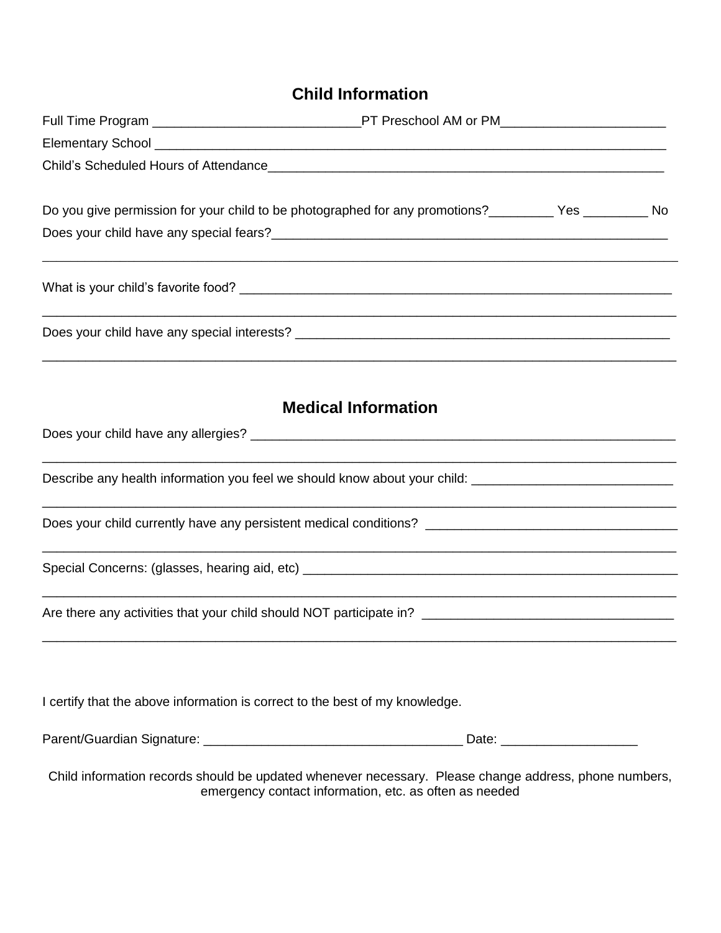## **Child Information**

|                                                                              | Do you give permission for your child to be photographed for any promotions?__________Yes ____________ No |  |
|------------------------------------------------------------------------------|-----------------------------------------------------------------------------------------------------------|--|
|                                                                              |                                                                                                           |  |
|                                                                              |                                                                                                           |  |
|                                                                              | ,我们也不能在这里的人,我们也不能在这里的人,我们也不能在这里的人,我们也不能在这里的人,我们也不能在这里的人,我们也不能在这里的人,我们也不能在这里的人,我们也                         |  |
|                                                                              |                                                                                                           |  |
|                                                                              | <b>Medical Information</b>                                                                                |  |
|                                                                              |                                                                                                           |  |
|                                                                              | Describe any health information you feel we should know about your child: __________________________      |  |
|                                                                              |                                                                                                           |  |
|                                                                              |                                                                                                           |  |
|                                                                              |                                                                                                           |  |
|                                                                              |                                                                                                           |  |
| I certify that the above information is correct to the best of my knowledge. |                                                                                                           |  |
|                                                                              |                                                                                                           |  |
|                                                                              | Child information records should be updated whenever necessary. Please change address, phone numbers,     |  |

emergency contact information, etc. as often as needed